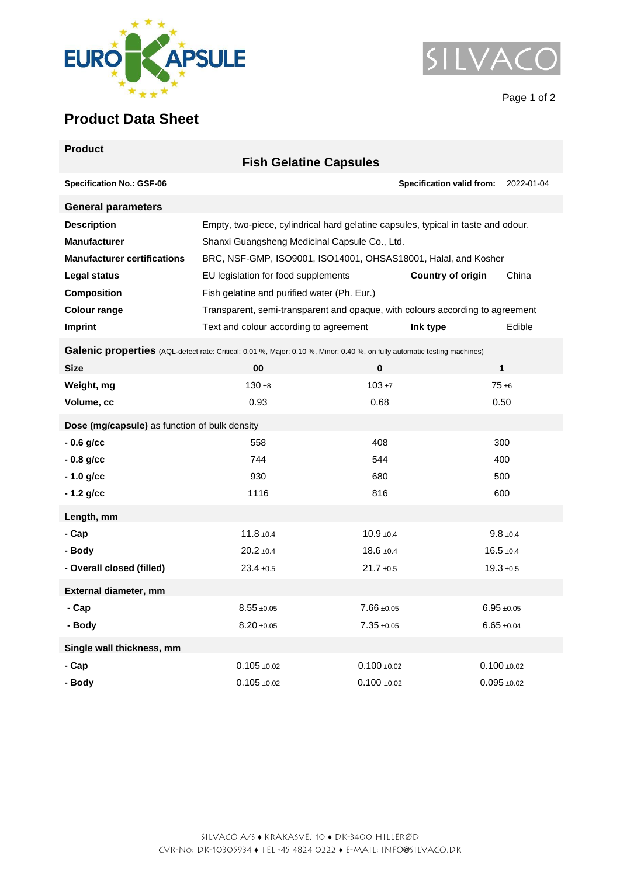



Page 1 of 2

## **Product Data Sheet**

| <b>Product</b>                                                                                                            | <b>Fish Gelatine Capsules</b>                                                     |                                   |                                                |  |  |
|---------------------------------------------------------------------------------------------------------------------------|-----------------------------------------------------------------------------------|-----------------------------------|------------------------------------------------|--|--|
| <b>Specification No.: GSF-06</b>                                                                                          |                                                                                   |                                   | <b>Specification valid from:</b><br>2022-01-04 |  |  |
| <b>General parameters</b>                                                                                                 |                                                                                   |                                   |                                                |  |  |
| <b>Description</b>                                                                                                        | Empty, two-piece, cylindrical hard gelatine capsules, typical in taste and odour. |                                   |                                                |  |  |
| <b>Manufacturer</b>                                                                                                       | Shanxi Guangsheng Medicinal Capsule Co., Ltd.                                     |                                   |                                                |  |  |
| <b>Manufacturer certifications</b>                                                                                        | BRC, NSF-GMP, ISO9001, ISO14001, OHSAS18001, Halal, and Kosher                    |                                   |                                                |  |  |
| Legal status                                                                                                              | EU legislation for food supplements                                               | <b>Country of origin</b><br>China |                                                |  |  |
| <b>Composition</b>                                                                                                        | Fish gelatine and purified water (Ph. Eur.)                                       |                                   |                                                |  |  |
| <b>Colour range</b>                                                                                                       | Transparent, semi-transparent and opaque, with colours according to agreement     |                                   |                                                |  |  |
| Imprint                                                                                                                   | Text and colour according to agreement                                            | Ink type                          | Edible                                         |  |  |
| Galenic properties (AQL-defect rate: Critical: 0.01 %, Major: 0.10 %, Minor: 0.40 %, on fully automatic testing machines) |                                                                                   |                                   |                                                |  |  |
| <b>Size</b>                                                                                                               | 00                                                                                | $\bf{0}$                          | $\mathbf{1}$                                   |  |  |
| Weight, mg                                                                                                                | $130 + 8$                                                                         | $103 + 7$                         | $75 + 6$                                       |  |  |
| Volume, cc                                                                                                                | 0.93                                                                              | 0.68                              | 0.50                                           |  |  |
| Dose (mg/capsule) as function of bulk density                                                                             |                                                                                   |                                   |                                                |  |  |
| $-0.6$ g/cc                                                                                                               | 558                                                                               | 408                               | 300                                            |  |  |
| $-0.8$ g/cc                                                                                                               | 744                                                                               | 544                               | 400                                            |  |  |
| $-1.0$ g/cc                                                                                                               | 930                                                                               | 680                               | 500                                            |  |  |
| $-1.2$ g/cc                                                                                                               | 1116                                                                              | 816                               | 600                                            |  |  |
| Length, mm                                                                                                                |                                                                                   |                                   |                                                |  |  |
| - Cap                                                                                                                     | $11.8 \pm 0.4$                                                                    | $10.9 + 0.4$                      | $9.8 \pm 0.4$                                  |  |  |
| - Body                                                                                                                    | $20.2 \pm 0.4$                                                                    | $18.6 \pm 0.4$                    | $16.5 + 0.4$                                   |  |  |
| - Overall closed (filled)                                                                                                 | $23.4 \pm 0.5$                                                                    | $21.7 \pm 0.5$                    | $19.3 + 0.5$                                   |  |  |
| External diameter, mm                                                                                                     |                                                                                   |                                   |                                                |  |  |
| - Cap                                                                                                                     | $8.55 + 0.05$                                                                     | $7.66 \pm 0.05$                   | $6.95 \pm 0.05$                                |  |  |
| - Body                                                                                                                    | $8.20 + 0.05$                                                                     | $7.35 + 0.05$                     | $6.65 \pm 0.04$                                |  |  |
| Single wall thickness, mm                                                                                                 |                                                                                   |                                   |                                                |  |  |
| - Cap                                                                                                                     | $0.105 \pm 0.02$                                                                  | $0.100 + 0.02$                    | $0.100 + 0.02$                                 |  |  |
| - Body                                                                                                                    | $0.105 + 0.02$                                                                    | $0.100 + 0.02$                    | $0.095 + 0.02$                                 |  |  |